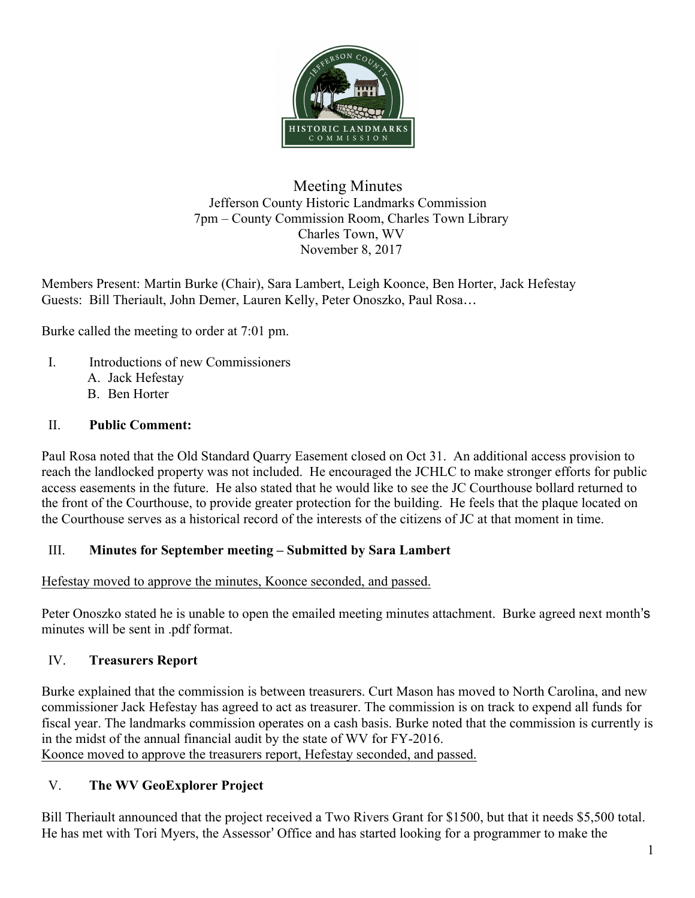

#### Meeting Minutes Jefferson County Historic Landmarks Commission 7pm – County Commission Room, Charles Town Library Charles Town, WV November 8, 2017

Members Present: Martin Burke (Chair), Sara Lambert, Leigh Koonce, Ben Horter, Jack Hefestay Guests: Bill Theriault, John Demer, Lauren Kelly, Peter Onoszko, Paul Rosa…

Burke called the meeting to order at 7:01 pm.

- I. Introductions of new Commissioners A. Jack Hefestay
	- B. Ben Horter

### II. **Public Comment:**

Paul Rosa noted that the Old Standard Quarry Easement closed on Oct 31. An additional access provision to reach the landlocked property was not included. He encouraged the JCHLC to make stronger efforts for public access easements in the future. He also stated that he would like to see the JC Courthouse bollard returned to the front of the Courthouse, to provide greater protection for the building. He feels that the plaque located on the Courthouse serves as a historical record of the interests of the citizens of JC at that moment in time.

#### III. **Minutes for September meeting – Submitted by Sara Lambert**

Hefestay moved to approve the minutes, Koonce seconded, and passed.

Peter Onoszko stated he is unable to open the emailed meeting minutes attachment. Burke agreed next month's minutes will be sent in .pdf format.

### IV. **Treasurers Report**

Burke explained that the commission is between treasurers. Curt Mason has moved to North Carolina, and new commissioner Jack Hefestay has agreed to act as treasurer. The commission is on track to expend all funds for fiscal year. The landmarks commission operates on a cash basis. Burke noted that the commission is currently is in the midst of the annual financial audit by the state of WV for FY-2016. Koonce moved to approve the treasurers report, Hefestay seconded, and passed.

### V. **The WV GeoExplorer Project**

Bill Theriault announced that the project received a Two Rivers Grant for \$1500, but that it needs \$5,500 total. He has met with Tori Myers, the Assessor' Office and has started looking for a programmer to make the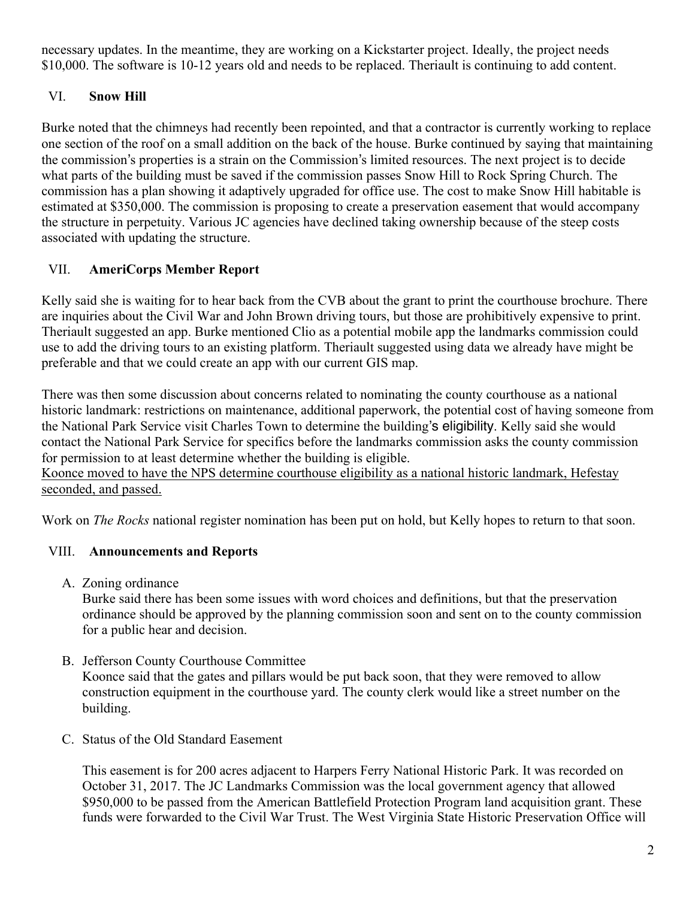necessary updates. In the meantime, they are working on a Kickstarter project. Ideally, the project needs \$10,000. The software is 10-12 years old and needs to be replaced. Theriault is continuing to add content.

# VI. **Snow Hill**

Burke noted that the chimneys had recently been repointed, and that a contractor is currently working to replace one section of the roof on a small addition on the back of the house. Burke continued by saying that maintaining the commission's properties is a strain on the Commission's limited resources. The next project is to decide what parts of the building must be saved if the commission passes Snow Hill to Rock Spring Church. The commission has a plan showing it adaptively upgraded for office use. The cost to make Snow Hill habitable is estimated at \$350,000. The commission is proposing to create a preservation easement that would accompany the structure in perpetuity. Various JC agencies have declined taking ownership because of the steep costs associated with updating the structure.

## VII. **AmeriCorps Member Report**

Kelly said she is waiting for to hear back from the CVB about the grant to print the courthouse brochure. There are inquiries about the Civil War and John Brown driving tours, but those are prohibitively expensive to print. Theriault suggested an app. Burke mentioned Clio as a potential mobile app the landmarks commission could use to add the driving tours to an existing platform. Theriault suggested using data we already have might be preferable and that we could create an app with our current GIS map.

There was then some discussion about concerns related to nominating the county courthouse as a national historic landmark: restrictions on maintenance, additional paperwork, the potential cost of having someone from the National Park Service visit Charles Town to determine the building's eligibility. Kelly said she would contact the National Park Service for specifics before the landmarks commission asks the county commission for permission to at least determine whether the building is eligible.

Koonce moved to have the NPS determine courthouse eligibility as a national historic landmark, Hefestay seconded, and passed.

Work on *The Rocks* national register nomination has been put on hold, but Kelly hopes to return to that soon.

# VIII. **Announcements and Reports**

A. Zoning ordinance

building.

Burke said there has been some issues with word choices and definitions, but that the preservation ordinance should be approved by the planning commission soon and sent on to the county commission for a public hear and decision.

- B. Jefferson County Courthouse Committee Koonce said that the gates and pillars would be put back soon, that they were removed to allow construction equipment in the courthouse yard. The county clerk would like a street number on the
- C. Status of the Old Standard Easement

This easement is for 200 acres adjacent to Harpers Ferry National Historic Park. It was recorded on October 31, 2017. The JC Landmarks Commission was the local government agency that allowed \$950,000 to be passed from the American Battlefield Protection Program land acquisition grant. These funds were forwarded to the Civil War Trust. The West Virginia State Historic Preservation Office will